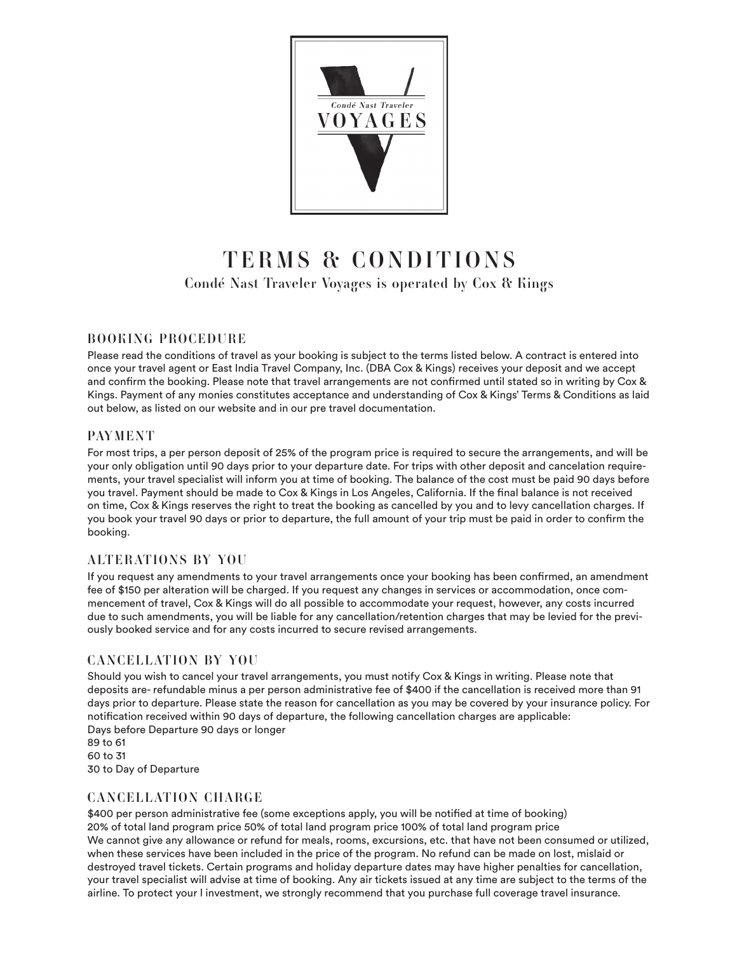

# TERMS & CONDITIONS Condé Nast Traveler Voyages is operated by Cox & Kings

#### BOOKING PROCEDURE

Please read the conditions of travel as your booking is subject to the terms listed below. A contract is entered into once your travel agent or East India Travel Company, Inc. (DBA Cox & Kings) receives your deposit and we accept and confirm the booking. Please note that travel arrangements are not confirmed until stated so in writing by Cox & Kings. Payment of any monies constitutes acceptance and understanding of Cox & Kings' Terms & Conditions as laid out below, as listed on our website and in our pre travel documentation.

#### PAYMENT

For most trips, a per person deposit of 25% of the program price is required to secure the arrangements, and will be your only obligation until 90 days prior to your departure date. For trips with other deposit and cancelation requirements, your travel specialist will inform you at time of booking. The balance of the cost must be paid 90 days before you travel. Payment should be made to Cox & Kings in Los Angeles, California. If the final balance is not received on time, Cox & Kings reserves the right to treat the booking as cancelled by you and to levy cancellation charges. If you book your travel 90 days or prior to departure, the full amount of your trip must be paid in order to confirm the booking.

#### ALTERATIONS BY YOU

If you request any amendments to your travel arrangements once your booking has been confirmed, an amendment fee of \$150 per alteration will be charged. If you request any changes in services or accommodation, once commencement of travel, Cox & Kings will do all possible to accommodate your request, however, any costs incurred due to such amendments, you will be liable for any cancellation/retention charges that may be levied for the previously booked service and for any costs incurred to secure revised arrangements.

#### CANCELLATION BY YOU

Should you wish to cancel your travel arrangements, you must notify Cox & Kings in writing. Please note that deposits are- refundable minus a per person administrative fee of \$400 if the cancellation is received more than 91 days prior to departure. Please state the reason for cancellation as you may be covered by your insurance policy. For notification received within 90 days of departure, the following cancellation charges are applicable: Days before Departure 90 days or longer

89 to 61 60 to 31 30 to Day of Departure

#### CANCELLATION CHARGE

\$400 per person administrative fee (some exceptions apply, you will be notified at time of booking) 20% of total land program price 50% of total land program price 100% of total land program price We cannot give any allowance or refund for meals, rooms, excursions, etc. that have not been consumed or utilized, when these services have been included in the price of the program. No refund can be made on lost, mislaid or destroyed travel tickets. Certain programs and holiday departure dates may have higher penalties for cancellation, your travel specialist will advise at time of booking. Any air tickets issued at any time are subject to the terms of the airline. To protect your l investment, we strongly recommend that you purchase full coverage travel insurance.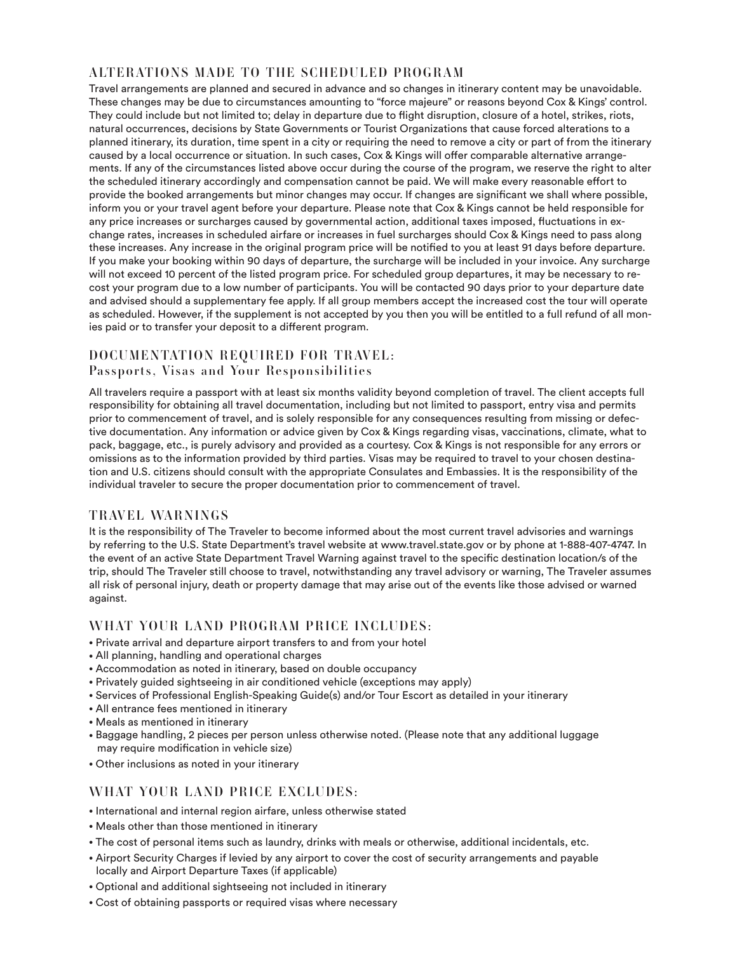## ALTERATIONS MADE TO THE SCHEDULED PROGRAM

Travel arrangements are planned and secured in advance and so changes in itinerary content may be unavoidable. These changes may be due to circumstances amounting to "force majeure" or reasons beyond Cox & Kings' control. They could include but not limited to; delay in departure due to flight disruption, closure of a hotel, strikes, riots, natural occurrences, decisions by State Governments or Tourist Organizations that cause forced alterations to a planned itinerary, its duration, time spent in a city or requiring the need to remove a city or part of from the itinerary caused by a local occurrence or situation. In such cases, Cox & Kings will offer comparable alternative arrangements. If any of the circumstances listed above occur during the course of the program, we reserve the right to alter the scheduled itinerary accordingly and compensation cannot be paid. We will make every reasonable effort to provide the booked arrangements but minor changes may occur. If changes are significant we shall where possible, inform you or your travel agent before your departure. Please note that Cox & Kings cannot be held responsible for any price increases or surcharges caused by governmental action, additional taxes imposed, fluctuations in exchange rates, increases in scheduled airfare or increases in fuel surcharges should Cox & Kings need to pass along these increases. Any increase in the original program price will be notified to you at least 91 days before departure. If you make your booking within 90 days of departure, the surcharge will be included in your invoice. Any surcharge will not exceed 10 percent of the listed program price. For scheduled group departures, it may be necessary to recost your program due to a low number of participants. You will be contacted 90 days prior to your departure date and advised should a supplementary fee apply. If all group members accept the increased cost the tour will operate as scheduled. However, if the supplement is not accepted by you then you will be entitled to a full refund of all monies paid or to transfer your deposit to a different program.

## DOCUMENTATION REQUIRED FOR TRAVEL: Passports, Visas and Your Responsibilities

All travelers require a passport with at least six months validity beyond completion of travel. The client accepts full responsibility for obtaining all travel documentation, including but not limited to passport, entry visa and permits prior to commencement of travel, and is solely responsible for any consequences resulting from missing or defective documentation. Any information or advice given by Cox & Kings regarding visas, vaccinations, climate, what to pack, baggage, etc., is purely advisory and provided as a courtesy. Cox & Kings is not responsible for any errors or omissions as to the information provided by third parties. Visas may be required to travel to your chosen destination and U.S. citizens should consult with the appropriate Consulates and Embassies. It is the responsibility of the individual traveler to secure the proper documentation prior to commencement of travel.

## TRAVEL WARNINGS

It is the responsibility of The Traveler to become informed about the most current travel advisories and warnings by referring to the U.S. State Department's travel website at www.travel.state.gov or by phone at 1-888-407-4747. In the event of an active State Department Travel Warning against travel to the specific destination location/s of the trip, should The Traveler still choose to travel, notwithstanding any travel advisory or warning, The Traveler assumes all risk of personal injury, death or property damage that may arise out of the events like those advised or warned against.

## WHAT YOUR LAND PROGRAM PRICE INCLUDES:

- Private arrival and departure airport transfers to and from your hotel
- All planning, handling and operational charges
- Accommodation as noted in itinerary, based on double occupancy
- Privately guided sightseeing in air conditioned vehicle (exceptions may apply)
- Services of Professional English-Speaking Guide(s) and/or Tour Escort as detailed in your itinerary
- All entrance fees mentioned in itinerary
- Meals as mentioned in itinerary
- Baggage handling, 2 pieces per person unless otherwise noted. (Please note that any additional luggage may require modification in vehicle size)
- Other inclusions as noted in your itinerary

#### WHAT YOUR LAND PRICE EXCLUDES:

- International and internal region airfare, unless otherwise stated
- Meals other than those mentioned in itinerary
- The cost of personal items such as laundry, drinks with meals or otherwise, additional incidentals, etc.
- Airport Security Charges if levied by any airport to cover the cost of security arrangements and payable locally and Airport Departure Taxes (if applicable)
- Optional and additional sightseeing not included in itinerary
- Cost of obtaining passports or required visas where necessary